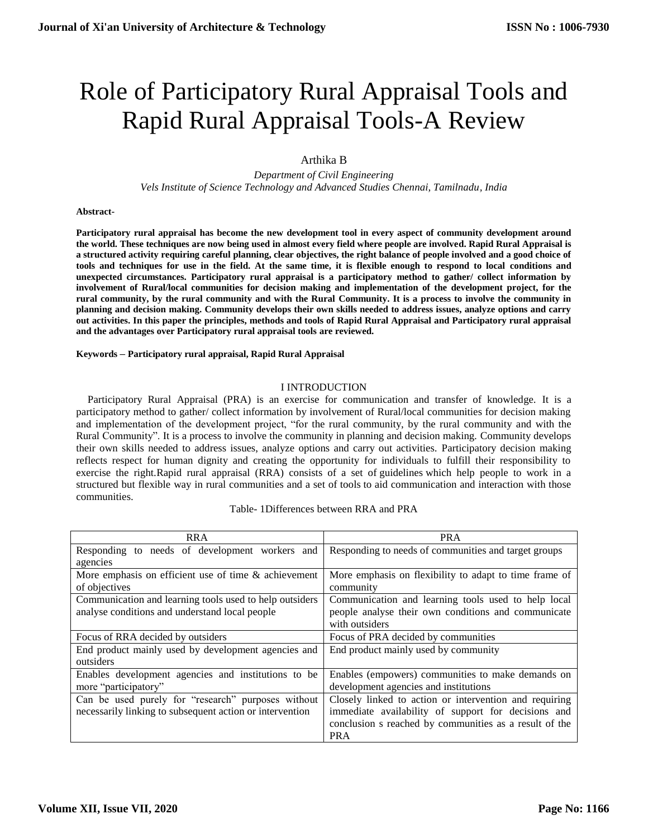# Role of Participatory Rural Appraisal Tools and Rapid Rural Appraisal Tools-A Review

# Arthika B

*Department of Civil Engineering Vels Institute of Science Technology and Advanced Studies Chennai, Tamilnadu, India*

#### **Abstract-**

**Participatory rural appraisal has become the new development tool in every aspect of community development around the world. These techniques are now being used in almost every field where people are involved. Rapid Rural Appraisal is a structured activity requiring careful planning, clear objectives, the right balance of people involved and a good choice of tools and techniques for use in the field. At the same time, it is flexible enough to respond to local conditions and unexpected circumstances. Participatory rural appraisal is a participatory method to gather/ collect information by involvement of Rural/local communities for decision making and implementation of the development project, for the rural community, by the rural community and with the Rural Community. It is a process to involve the community in planning and decision making. Community develops their own skills needed to address issues, analyze options and carry out activities. In this paper the principles, methods and tools of Rapid Rural Appraisal and Participatory rural appraisal and the advantages over Participatory rural appraisal tools are reviewed.**

#### **Keywords – Participatory rural appraisal, Rapid Rural Appraisal**

#### I INTRODUCTION

Participatory Rural Appraisal (PRA) is an exercise for communication and transfer of knowledge. It is a participatory method to gather/ collect information by involvement of Rural/local communities for decision making and implementation of the development project, "for the rural community, by the rural community and with the Rural Community". It is a process to involve the community in planning and decision making. Community develops their own skills needed to address issues, analyze options and carry out activities. Participatory decision making reflects respect for human dignity and creating the opportunity for individuals to fulfill their responsibility to exercise the right.Rapid rural appraisal (RRA) consists of a set of guidelines which help people to work in a structured but flexible way in rural communities and a set of tools to aid communication and interaction with those communities.

Table- 1Differences between RRA and PRA

| <b>RRA</b>                                               | <b>PRA</b>                                             |
|----------------------------------------------------------|--------------------------------------------------------|
| Responding to needs of development workers and           | Responding to needs of communities and target groups   |
| agencies                                                 |                                                        |
| More emphasis on efficient use of time $\&$ achievement  | More emphasis on flexibility to adapt to time frame of |
| of objectives                                            | community                                              |
| Communication and learning tools used to help outsiders  | Communication and learning tools used to help local    |
| analyse conditions and understand local people           | people analyse their own conditions and communicate    |
|                                                          | with outsiders                                         |
| Focus of RRA decided by outsiders                        | Focus of PRA decided by communities                    |
| End product mainly used by development agencies and      | End product mainly used by community                   |
| outsiders                                                |                                                        |
| Enables development agencies and institutions to be      | Enables (empowers) communities to make demands on      |
| more "participatory"                                     | development agencies and institutions                  |
| Can be used purely for "research" purposes without       | Closely linked to action or intervention and requiring |
| necessarily linking to subsequent action or intervention | immediate availability of support for decisions and    |
|                                                          | conclusion s reached by communities as a result of the |
|                                                          | <b>PRA</b>                                             |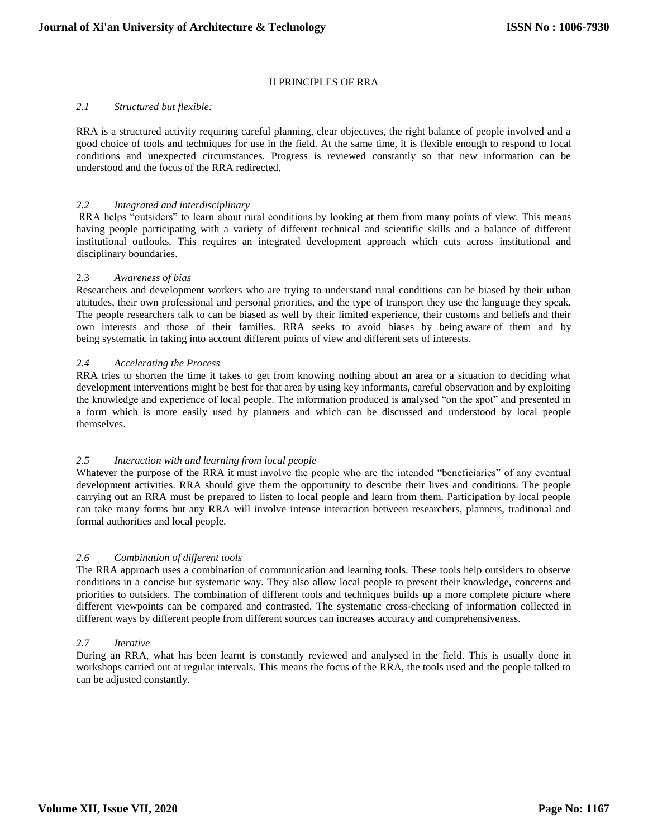# II PRINCIPLES OF RRA

## *2.1 Structured but flexible:*

RRA is a structured activity requiring careful planning, clear objectives, the right balance of people involved and a good choice of tools and techniques for use in the field. At the same time, it is flexible enough to respond to local conditions and unexpected circumstances. Progress is reviewed constantly so that new information can be understood and the focus of the RRA redirected.

## *2.2 Integrated and interdisciplinary*

RRA helps "outsiders" to learn about rural conditions by looking at them from many points of view. This means having people participating with a variety of different technical and scientific skills and a balance of different institutional outlooks. This requires an integrated development approach which cuts across institutional and disciplinary boundaries.

## 2.3 *Awareness of bias*

Researchers and development workers who are trying to understand rural conditions can be biased by their urban attitudes, their own professional and personal priorities, and the type of transport they use the language they speak. The people researchers talk to can be biased as well by their limited experience, their customs and beliefs and their own interests and those of their families. RRA seeks to avoid biases by being aware of them and by being systematic in taking into account different points of view and different sets of interests.

## *2.4 Accelerating the Process*

RRA tries to shorten the time it takes to get from knowing nothing about an area or a situation to deciding what development interventions might be best for that area by using key informants, careful observation and by exploiting the knowledge and experience of local people. The information produced is analysed "on the spot" and presented in a form which is more easily used by planners and which can be discussed and understood by local people themselves.

# *2.5 Interaction with and learning from local people*

Whatever the purpose of the RRA it must involve the people who are the intended "beneficiaries" of any eventual development activities. RRA should give them the opportunity to describe their lives and conditions. The people carrying out an RRA must be prepared to listen to local people and learn from them. Participation by local people can take many forms but any RRA will involve intense interaction between researchers, planners, traditional and formal authorities and local people.

#### *2.6 Combination of different tools*

The RRA approach uses a combination of communication and learning tools. These tools help outsiders to observe conditions in a concise but systematic way. They also allow local people to present their knowledge, concerns and priorities to outsiders. The combination of different tools and techniques builds up a more complete picture where different viewpoints can be compared and contrasted. The systematic cross-checking of information collected in different ways by different people from different sources can increases accuracy and comprehensiveness.

#### *2.7 Iterative*

During an RRA, what has been learnt is constantly reviewed and analysed in the field. This is usually done in workshops carried out at regular intervals. This means the focus of the RRA, the tools used and the people talked to can be adjusted constantly.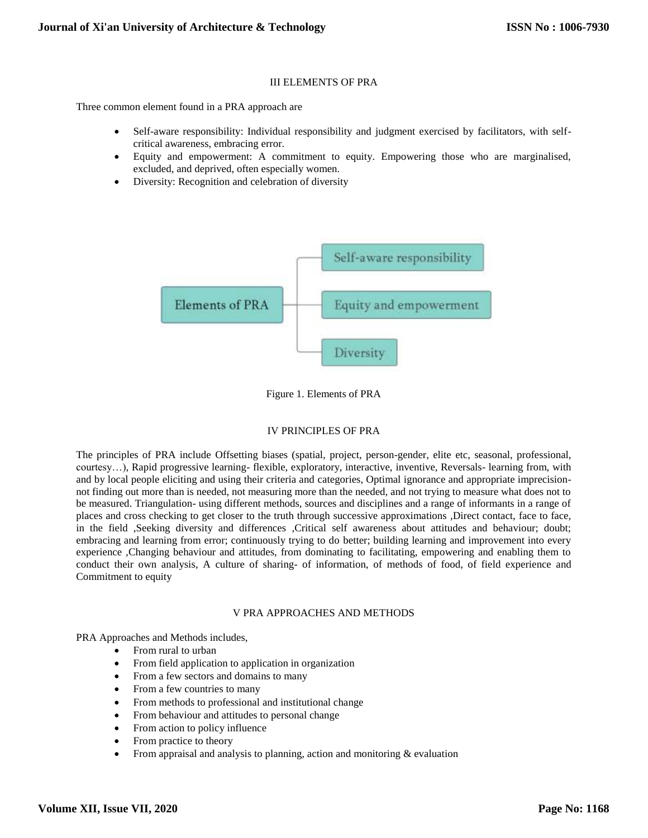# III ELEMENTS OF PRA

Three common element found in a PRA approach are

- Self-aware responsibility: Individual responsibility and judgment exercised by facilitators, with selfcritical awareness, embracing error.
- Equity and empowerment: A commitment to equity. Empowering those who are marginalised, excluded, and deprived, often especially women.
- Diversity: Recognition and celebration of diversity



Figure 1. Elements of PRA

# IV PRINCIPLES OF PRA

The principles of PRA include Offsetting biases (spatial, project, person-gender, elite etc, seasonal, professional, courtesy…), Rapid progressive learning- flexible, exploratory, interactive, inventive, Reversals- learning from, with and by local people eliciting and using their criteria and categories, Optimal ignorance and appropriate imprecisionnot finding out more than is needed, not measuring more than the needed, and not trying to measure what does not to be measured. Triangulation- using different methods, sources and disciplines and a range of informants in a range of places and cross checking to get closer to the truth through successive approximations ,Direct contact, face to face, in the field ,Seeking diversity and differences ,Critical self awareness about attitudes and behaviour; doubt; embracing and learning from error; continuously trying to do better; building learning and improvement into every experience ,Changing behaviour and attitudes, from dominating to facilitating, empowering and enabling them to conduct their own analysis, A culture of sharing- of information, of methods of food, of field experience and Commitment to equity

# V PRA APPROACHES AND METHODS

PRA Approaches and Methods includes,

- From rural to urban
- From field application to application in organization
- From a few sectors and domains to many
- From a few countries to many
- From methods to professional and institutional change
- From behaviour and attitudes to personal change
- From action to policy influence
- From practice to theory
- From appraisal and analysis to planning, action and monitoring & evaluation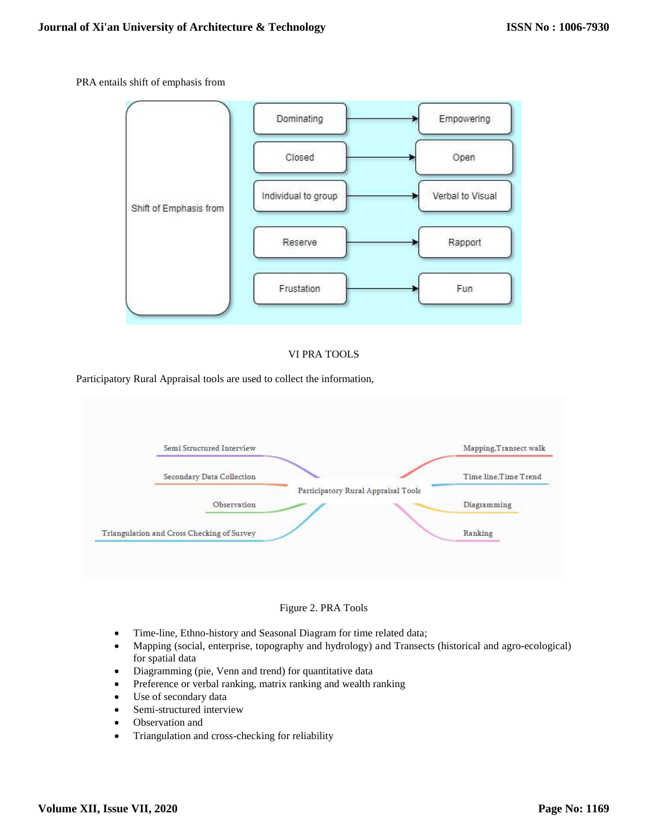## PRA entails shift of emphasis from



## VI PRA TOOLS

Participatory Rural Appraisal tools are used to collect the information,



#### Figure 2. PRA Tools

- Time-line, Ethno-history and Seasonal Diagram for time related data;
- Mapping (social, enterprise, topography and hydrology) and Transects (historical and agro-ecological) for spatial data
- Diagramming (pie, Venn and trend) for quantitative data
- Preference or verbal ranking, matrix ranking and wealth ranking
- Use of secondary data
- Semi-structured interview
- Observation and
- Triangulation and cross-checking for reliability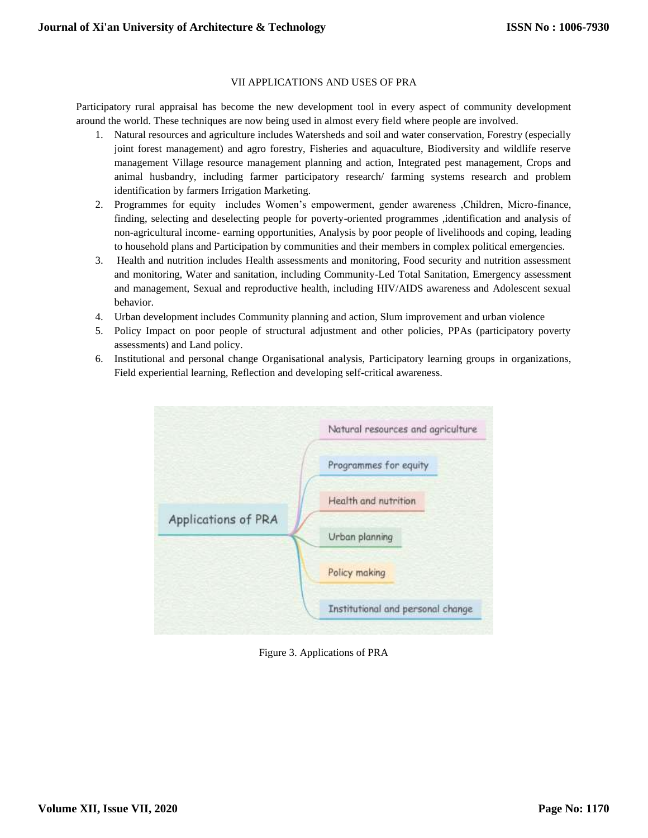# VII APPLICATIONS AND USES OF PRA

Participatory rural appraisal has become the new development tool in every aspect of community development around the world. These techniques are now being used in almost every field where people are involved.

- 1. Natural resources and agriculture includes Watersheds and soil and water conservation, Forestry (especially joint forest management) and agro forestry, Fisheries and aquaculture, Biodiversity and wildlife reserve management Village resource management planning and action, Integrated pest management, Crops and animal husbandry, including farmer participatory research/ farming systems research and problem identification by farmers Irrigation Marketing.
- 2. Programmes for equity includes Women's empowerment, gender awareness ,Children, Micro-finance, finding, selecting and deselecting people for poverty-oriented programmes ,identification and analysis of non-agricultural income- earning opportunities, Analysis by poor people of livelihoods and coping, leading to household plans and Participation by communities and their members in complex political emergencies.
- 3. Health and nutrition includes Health assessments and monitoring, Food security and nutrition assessment and monitoring, Water and sanitation, including Community-Led Total Sanitation, Emergency assessment and management, Sexual and reproductive health, including HIV/AIDS awareness and Adolescent sexual behavior.
- 4. Urban development includes Community planning and action, Slum improvement and urban violence
- 5. Policy Impact on poor people of structural adjustment and other policies, PPAs (participatory poverty assessments) and Land policy.
- 6. Institutional and personal change Organisational analysis, Participatory learning groups in organizations, Field experiential learning, Reflection and developing self-critical awareness.



Figure 3. Applications of PRA